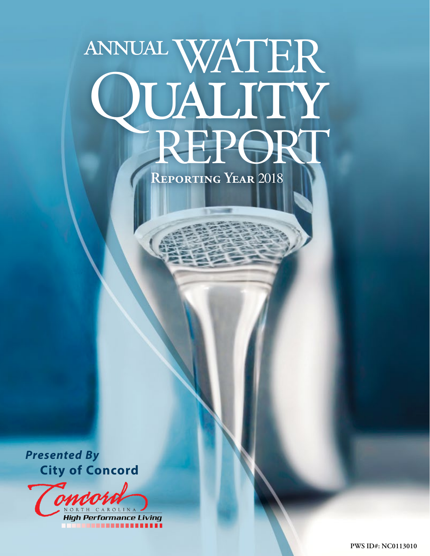# annualWATER **QUALITY**<br>REPORT

**Reporting Year** 2018

*Presented By* **City of Concord**

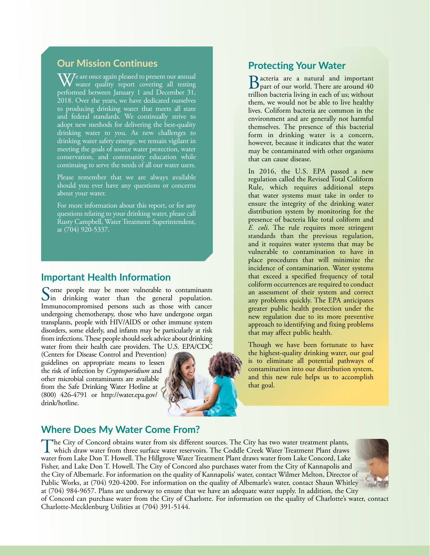#### **Our Mission Continues**

 $\rm \overline{W}$ e are once again pleased to present our annual water quality report covering all testing performed between January 1 and December 31, 2018. Over the years, we have dedicated ourselves to producing drinking water that meets all state and federal standards. We continually strive to adopt new methods for delivering the best-quality drinking water to you. As new challenges to drinking water safety emerge, we remain vigilant in meeting the goals of source water protection, water conservation, and community education while continuing to serve the needs of all our water users.

Please remember that we are always available should you ever have any questions or concerns about your water.

For more information about this report, or for any questions relating to your drinking water, please call Rusty Campbell, Water Treatment Superintendent, at (704) 920-5337.

#### **Important Health Information**

Some people may be more vulnerable to contaminants  $\sum$ in drinking water than the general population. Immunocompromised persons such as those with cancer undergoing chemotherapy, those who have undergone organ transplants, people with HIV/AIDS or other immune system disorders, some elderly, and infants may be particularly at risk from infections. These people should seek advice about drinking water from their health care providers. The U.S. EPA/CDC

(Centers for Disease Control and Prevention) guidelines on appropriate means to lessen the risk of infection by *Cryptosporidium* and other microbial contaminants are available from the Safe Drinking Water Hotline at (800) 426-4791 or [http://water.epa.gov/](http://water.epa.gov/drink/hotline.) [drink/hotline.](http://water.epa.gov/drink/hotline.)



#### **Protecting Your Water**

Bacteria are a natural and important part of our world. There are around 40 trillion bacteria living in each of us; without them, we would not be able to live healthy lives. Coliform bacteria are common in the environment and are generally not harmful themselves. The presence of this bacterial form in drinking water is a concern, however, because it indicates that the water may be contaminated with other organisms that can cause disease.

In 2016, the U.S. EPA passed a new regulation called the Revised Total Coliform Rule, which requires additional steps that water systems must take in order to ensure the integrity of the drinking water distribution system by monitoring for the presence of bacteria like total coliform and *E. coli*. The rule requires more stringent standards than the previous regulation, and it requires water systems that may be vulnerable to contamination to have in place procedures that will minimize the incidence of contamination. Water systems that exceed a specified frequency of total coliform occurrences are required to conduct an assessment of their system and correct any problems quickly. The EPA anticipates greater public health protection under the new regulation due to its more preventive approach to identifying and fixing problems that may affect public health.

Though we have been fortunate to have the highest-quality drinking water, our goal is to eliminate all potential pathways of contamination into our distribution system, and this new rule helps us to accomplish that goal.

#### **Where Does My Water Come From?**

The City of Concord obtains water from six different sources. The City has two water treatment plants, which draw water from three surface water reservoirs. The Coddle Creek Water Treatment Plant draws water from Lake Don T. Howell. The Hillgrove Water Treatment Plant draws water from Lake Concord, Lake Fisher, and Lake Don T. Howell. The City of Concord also purchases water from the City of Kannapolis and the City of Albemarle. For information on the quality of Kannapolis' water, contact Wilmer Melton, Director of Public Works, at (704) 920-4200. For information on the quality of Albemarle's water, contact Shaun Whitley at (704) 984-9657. Plans are underway to ensure that we have an adequate water supply. In addition, the City



of Concord can purchase water from the City of Charlotte. For information on the quality of Charlotte's water, contact Charlotte-Mecklenburg Utilities at (704) 391-5144.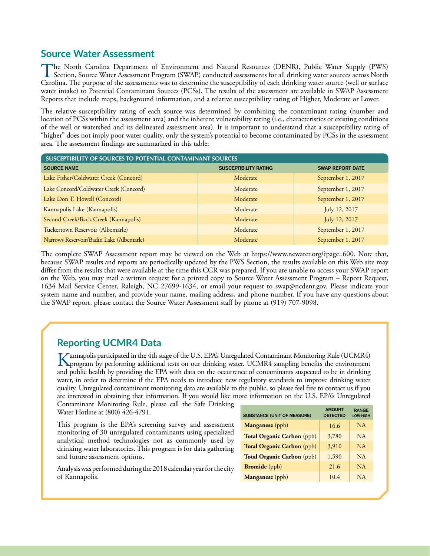#### **Source Water Assessment**

The North Carolina Department of Environment and Natural Resources (DENR), Public Water Supply (PWS)<br>Section, Source Water Assessment Program (SWAP) conducted assessments for all drinking water sources across North<br>Conditi Carolina. The purpose of the assessments was to determine the susceptibility of each drinking water source (well or surface water intake) to Potential Contaminant Sources (PCSs). The results of the assessment are available in SWAP Assessment Reports that include maps, background information, and a relative susceptibility rating of Higher, Moderate or Lower.

The relative susceptibility rating of each source was determined by combining the contaminant rating (number and location of PCSs within the assessment area) and the inherent vulnerability rating (i.e., characteristics or existing conditions of the well or watershed and its delineated assessment area). It is important to understand that a susceptibility rating of "higher" does not imply poor water quality, only the system's potential to become contaminated by PCSs in the assessment area. The assessment findings are summarized in this table:

| SUSCEPTIBILITY OF SOURCES TO POTENTIAL CONTAMINANT SOURCES |                              |                         |  |  |  |  |  |  |  |  |
|------------------------------------------------------------|------------------------------|-------------------------|--|--|--|--|--|--|--|--|
| <b>SOURCE NAME</b>                                         | <b>SUSCEPTIBILITY RATING</b> | <b>SWAP REPORT DATE</b> |  |  |  |  |  |  |  |  |
| Lake Fisher/Coldwater Creek (Concord)                      | Moderate                     | September 1, 2017       |  |  |  |  |  |  |  |  |
| Lake Concord/Coldwater Creek (Concord)                     | Moderate                     | September 1, 2017       |  |  |  |  |  |  |  |  |
| Lake Don T. Howell (Concord)                               | Moderate                     | September 1, 2017       |  |  |  |  |  |  |  |  |
| Kannapolis Lake (Kannapolis)                               | Moderate                     | July 12, 2017           |  |  |  |  |  |  |  |  |
| Second Creek/Back Creek (Kannapolis)                       | Moderate                     | July 12, 2017           |  |  |  |  |  |  |  |  |
| Tuckertown Reservoir (Albemarle)                           | Moderate                     | September 1, 2017       |  |  |  |  |  |  |  |  |
| Narrows Reservoir/Badin Lake (Albemarle)                   | Moderate                     | September 1, 2017       |  |  |  |  |  |  |  |  |

The complete SWAP Assessment report may be viewed on the Web at <https://www.ncwater.org/?page=600.> Note that, because SWAP results and reports are periodically updated by the PWS Section, the results available on this Web site may differ from the results that were available at the time this CCR was prepared. If you are unable to access your SWAP report on the Web, you may mail a written request for a printed copy to Source Water Assessment Program – Report Request, 1634 Mail Service Center, Raleigh, NC 27699-1634, or email your request to [swap@ncdenr.gov.](mailto:swap@ncdenr.gov) Please indicate your system name and number, and provide your name, mailing address, and phone number. If you have any questions about the SWAP report, please contact the Source Water Assessment staff by phone at (919) 707-9098.

## **Reporting UCMR4 Data**

Kannapolis participated in the 4th stage of the U.S. EPA's Unregulated Contaminant Monitoring Rule (UCMR4)<br>program by performing additional tests on our drinking water. UCMR4 sampling benefits the environment<br>and subject t and public health by providing the EPA with data on the occurrence of contaminants suspected to be in drinking water, in order to determine if the EPA needs to introduce new regulatory standards to improve drinking water quality. Unregulated contaminant monitoring data are available to the public, so please feel free to contact us if you are interested in obtaining that information. If you would like more information on the U.S. EPA's Unregulated

Contaminant Monitoring Rule, please call the Safe Drinking Water Hotline at (800) 426-4791.

This program is the EPA's screening survey and assessment monitoring of 30 unregulated contaminants using specialized analytical method technologies not as commonly used by drinking water laboratories. This program is for data gathering and future assessment options.

Analysis was performed during the 2018 calendar year for the city of Kannapolis.

| <b>SUBSTANCE (UNIT OF MEASURE)</b> | <b>AMOUNT</b><br><b>DETECTED</b> | <b>RANGE</b><br><b>LOW-HIGH</b> |
|------------------------------------|----------------------------------|---------------------------------|
| Manganese (ppb)                    | 16.6                             | NA.                             |
| Total Organic Carbon (ppb)         | 3,780                            | NA.                             |
| Total Organic Carbon (ppb)         | 3.910                            | NA.                             |
| Total Organic Carbon (ppb)         | 1,590                            | NA.                             |
| <b>Bromide</b> (ppb)               | 21.6                             | NA                              |
| Manganese (ppb)                    | 10.4                             | NA.                             |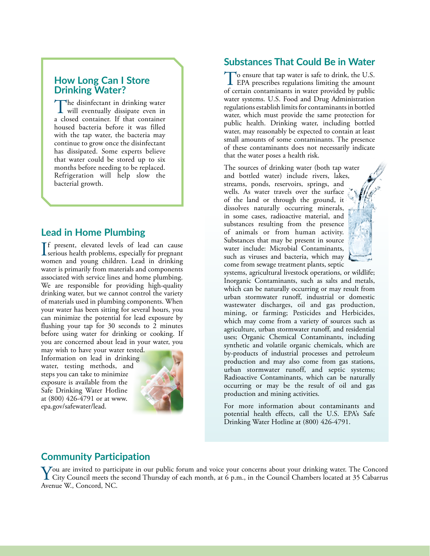#### **How Long Can I Store Drinking Water?**

The disinfectant in drinking water will eventually dissipate even in a closed container. If that container housed bacteria before it was filled with the tap water, the bacteria may continue to grow once the disinfectant has dissipated. Some experts believe that water could be stored up to six months before needing to be replaced. Refrigeration will help slow the bacterial growth.

### **Lead in Home Plumbing**

If present, elevated levels of lead can cause<br>serious health problems, especially for pregnant **The present, elevated levels of lead can cause** women and young children. Lead in drinking water is primarily from materials and components associated with service lines and home plumbing. We are responsible for providing high-quality drinking water, but we cannot control the variety of materials used in plumbing components. When your water has been sitting for several hours, you can minimize the potential for lead exposure by flushing your tap for 30 seconds to 2 minutes before using water for drinking or cooking. If you are concerned about lead in your water, you

may wish to have your water tested. Information on lead in drinking water, testing methods, and steps you can take to minimize exposure is available from the Safe Drinking Water Hotline at (800) 426-4791 or at [www.](http://www.epa.gov/safewater/lead.) [epa.gov/safewater/lead.](http://www.epa.gov/safewater/lead.)



#### **Substances That Could Be in Water**

To ensure that tap water is safe to drink, the U.S. **L** EPA prescribes regulations limiting the amount of certain contaminants in water provided by public water systems. U.S. Food and Drug Administration regulations establish limits for contaminants in bottled water, which must provide the same protection for public health. Drinking water, including bottled water, may reasonably be expected to contain at least small amounts of some contaminants. The presence of these contaminants does not necessarily indicate that the water poses a health risk.

The sources of drinking water (both tap water and bottled water) include rivers, lakes, streams, ponds, reservoirs, springs, and wells. As water travels over the surface of the land or through the ground, it dissolves naturally occurring minerals, in some cases, radioactive material, and substances resulting from the presence of animals or from human activity. Substances that may be present in source water include: Microbial Contaminants, such as viruses and bacteria, which may come from sewage treatment plants, septic



systems, agricultural livestock operations, or wildlife; Inorganic Contaminants, such as salts and metals, which can be naturally occurring or may result from urban stormwater runoff, industrial or domestic wastewater discharges, oil and gas production, mining, or farming; Pesticides and Herbicides, which may come from a variety of sources such as agriculture, urban stormwater runoff, and residential uses; Organic Chemical Contaminants, including synthetic and volatile organic chemicals, which are by-products of industrial processes and petroleum production and may also come from gas stations, urban stormwater runoff, and septic systems; Radioactive Contaminants, which can be naturally occurring or may be the result of oil and gas production and mining activities.

For more information about contaminants and potential health effects, call the U.S. EPA's Safe Drinking Water Hotline at (800) 426-4791.

## **Community Participation**

You are invited to participate in our public forum and voice your concerns about your drinking water. The Concord<br>City Council meets the second Thursday of each month, at 6 p.m., in the Council Chambers located at 35 Cabar Avenue W., Concord, NC.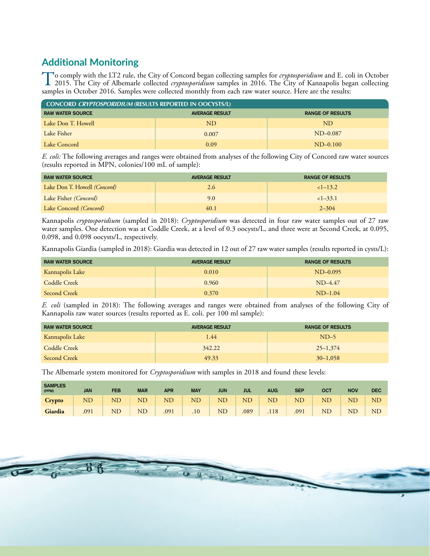# **Additional Monitoring**

To comply with the LT2 rule, the City of Concord began collecting samples for *cryptosporidium* and E. coli in October<br>2015. The City of Albemarle collected *cryptosporidium* samples in 2016. The City of Kannapolis began c samples in October 2016. Samples were collected monthly from each raw water source. Here are the results:

| <b>CONCORD CRYPTOSPORIDIUM (RESULTS REPORTED IN OOCYSTS/L)</b> |                         |            |  |  |  |  |  |  |  |
|----------------------------------------------------------------|-------------------------|------------|--|--|--|--|--|--|--|
| <b>RAW WATER SOURCE</b>                                        | <b>RANGE OF RESULTS</b> |            |  |  |  |  |  |  |  |
| Lake Don T. Howell                                             | ND.                     | ND.        |  |  |  |  |  |  |  |
| Lake Fisher                                                    | 0.007                   | $ND-0.087$ |  |  |  |  |  |  |  |
| Lake Concord                                                   | 0.09                    | $ND-0.100$ |  |  |  |  |  |  |  |

*E. coli:* The following averages and ranges were obtained from analyses of the following City of Concord raw water sources (results reported in MPN, colonies/100 mL of sample):

| <b>RAW WATER SOURCE</b>             | <b>AVERAGE RESULT</b> | <b>RANGE OF RESULTS</b> |  |  |  |
|-------------------------------------|-----------------------|-------------------------|--|--|--|
| Lake Don T. Howell <i>(Concord)</i> | 2.6                   | $<1-13.2$               |  |  |  |
| Lake Fisher (Concord)               | 9.0                   | $<1-33.1$               |  |  |  |
| Lake Concord <i>(Concord)</i>       | 40.1                  | $2 - 304$               |  |  |  |

Kannapolis *cryptosporidium* (sampled in 2018): *Cryptosporidium* was detected in four raw water samples out of 27 raw water samples. One detection was at Coddle Creek, at a level of 0.3 oocysts/L, and three were at Second Creek, at 0.095, 0.098, and 0.098 oocysts/L, respectively.

Kannapolis Giardia (sampled in 2018): Giardia was detected in 12 out of 27 raw water samples (results reported in cysts/L):

| <b>RAW WATER SOURCE</b> | <b>AVERAGE RESULT</b> | <b>RANGE OF RESULTS</b> |
|-------------------------|-----------------------|-------------------------|
| Kannapolis Lake         | 0.010                 | $ND-0.095$              |
| Coddle Creek            | 0.960                 | $ND-4.47$               |
| Second Creek            | 0.370                 | $ND-1.04$               |

*E. coli* (sampled in 2018): The following averages and ranges were obtained from analyses of the following City of Kannapolis raw water sources (results reported as E. coli. per 100 ml sample):

| <b>RAW WATER SOURCE</b> | <b>AVERAGE RESULT</b> | <b>RANGE OF RESULTS</b> |  |  |  |
|-------------------------|-----------------------|-------------------------|--|--|--|
| Kannapolis Lake         | 1.44                  | $ND-5$                  |  |  |  |
| Coddle Creek            | 342.22                | $25 - 1,374$            |  |  |  |
| Second Creek            | 49.33                 | $30-1,058$              |  |  |  |

The Albemarle system monitored for *Cryptosporidium* with samples in 2018 and found these levels:

| <b>SAMPLES</b><br>(PPM) | <b>JAN</b> | FEB      | <b>MAR</b> | <b>APR</b> | <b>MAY</b> | JUN       | jul        | <b>AUG</b> | <b>SEP</b> | ост      | <b>NOV</b> | <b>DEC</b> |
|-------------------------|------------|----------|------------|------------|------------|-----------|------------|------------|------------|----------|------------|------------|
| <b>Crypto</b>           | ND         | $\rm ND$ | <b>ND</b>  | $\rm ND$   | ND         | ND        | ${\rm ND}$ | ND         | <b>ND</b>  | $\rm ND$ | $\rm {N}D$ | ND         |
| Giardia                 | .091       | $\rm ND$ | <b>ND</b>  | .091       | .10        | <b>ND</b> | .089       | .118       | .091       | $\rm ND$ | $\rm {NL}$ | <b>ND</b>  |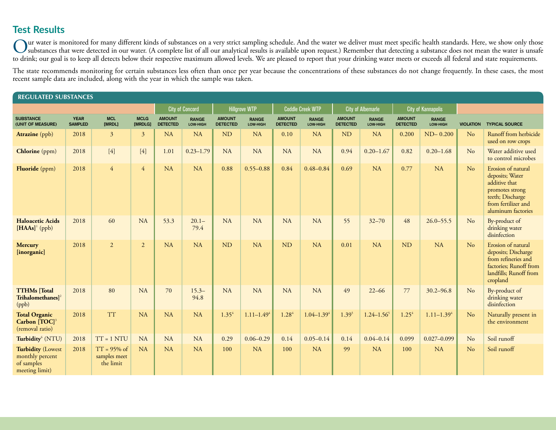# **Test Results**

Our water is monitored for many different kinds of substances on a very strict sampling schedule. And the water we deliver must meet specific health standards. Here, we show only those substances that were detected in our water. (A complete list of all our analytical results is available upon request.) Remember that detecting a substance does not mean the water is unsafe to drink; our goal is to keep all detects below their respective maximum allowed levels. We are pleased to report that your drinking water meets or exceeds all federal and state requirements.

The state recommends monitoring for certain substances less often than once per year because the concentrations of these substances do not change frequently. In these cases, the most recent sample data are included, along with the year in which the sample was taken.

| <b>REGULATED SUBSTANCES</b>                                                 |                               |                                             |                        |                                  |                          |                                                                                                          |                          |                                  |                          |                                  |                          |                                  |                          |                  |                                                                                                                                            |
|-----------------------------------------------------------------------------|-------------------------------|---------------------------------------------|------------------------|----------------------------------|--------------------------|----------------------------------------------------------------------------------------------------------|--------------------------|----------------------------------|--------------------------|----------------------------------|--------------------------|----------------------------------|--------------------------|------------------|--------------------------------------------------------------------------------------------------------------------------------------------|
|                                                                             |                               |                                             |                        |                                  | <b>City of Concord</b>   | <b>Coddle Creek WTP</b><br><b>City of Kannapolis</b><br><b>Hillgrove WTP</b><br><b>City of Albemarle</b> |                          |                                  |                          |                                  |                          |                                  |                          |                  |                                                                                                                                            |
| <b>SUBSTANCE</b><br>(UNIT OF MEASURE)                                       | <b>YEAR</b><br><b>SAMPLED</b> | <b>MCL</b><br>[MRDL]                        | <b>MCLG</b><br>[MRDLG] | <b>AMOUNT</b><br><b>DETECTED</b> | <b>RANGE</b><br>LOW-HIGH | <b>AMOUNT</b><br><b>DETECTED</b>                                                                         | <b>RANGE</b><br>LOW-HIGH | <b>AMOUNT</b><br><b>DETECTED</b> | <b>RANGE</b><br>LOW-HIGH | <b>AMOUNT</b><br><b>DETECTED</b> | <b>RANGE</b><br>LOW-HIGH | <b>AMOUNT</b><br><b>DETECTED</b> | <b>RANGE</b><br>LOW-HIGH | <b>VIOLATION</b> | <b>TYPICAL SOURCE</b>                                                                                                                      |
| <b>Atrazine</b> (ppb)                                                       | 2018                          | $\overline{3}$                              | $\overline{3}$         | <b>NA</b>                        | <b>NA</b>                | ND                                                                                                       | <b>NA</b>                | 0.10                             | <b>NA</b>                | <b>ND</b>                        | <b>NA</b>                | 0.200                            | $ND-0.200$               | N <sub>o</sub>   | Runoff from herbicide<br>used on row crops                                                                                                 |
| <b>Chlorine</b> (ppm)                                                       | 2018                          | $[4]$                                       | $[4]$                  | 1.01                             | $0.23 - 1.79$            | <b>NA</b>                                                                                                | <b>NA</b>                | <b>NA</b>                        | NA                       | 0.94                             | $0.20 - 1.67$            | 0.82                             | $0.20 - 1.68$            | N <sub>o</sub>   | Water additive used<br>to control microbes                                                                                                 |
| Fluoride (ppm)                                                              | 2018                          | $\overline{4}$                              | $\overline{4}$         | <b>NA</b>                        | NA                       | 0.88                                                                                                     | $0.55 - 0.88$            | 0.84                             | $0.48 - 0.84$            | 0.69                             | NA                       | 0.77                             | <b>NA</b>                | No               | Erosion of natural<br>deposits; Water<br>additive that<br>promotes strong<br>teeth; Discharge<br>from fertilizer and<br>aluminum factories |
| <b>Haloacetic Acids</b><br>$[HAAs]$ <sup>1</sup> (ppb)                      | 2018                          | 60                                          | NA                     | 53.3                             | $20.1 -$<br>79.4         | <b>NA</b>                                                                                                | NA                       | <b>NA</b>                        | <b>NA</b>                | 55                               | $32 - 70$                | 48                               | $26.0 - 55.5$            | No               | By-product of<br>drinking water<br>disinfection                                                                                            |
| <b>Mercury</b><br>[inorganic]                                               | 2018                          | 2                                           | $\overline{2}$         | <b>NA</b>                        | NA                       | <b>ND</b>                                                                                                | <b>NA</b>                | <b>ND</b>                        | <b>NA</b>                | 0.01                             | NA                       | <b>ND</b>                        | NA                       | No               | Erosion of natural<br>deposits; Discharge<br>from refineries and<br>factories; Runoff from<br>landfills; Runoff from<br>cropland           |
| <b>TTHMs</b> [Total<br>Trihalomethanes] $2$<br>(ppb)                        | 2018                          | 80                                          | NA                     | 70                               | $15.3 -$<br>94.8         | NA                                                                                                       | NA                       | NA                               | NA                       | 49                               | $22 - 66$                | 77                               | $30.2 - 96.8$            | N <sub>o</sub>   | By-product of<br>drinking water<br>disinfection                                                                                            |
| <b>Total Organic</b><br>Carbon [TOC] <sup>3</sup><br>(removal ratio)        | 2018                          | <b>TT</b>                                   | NA                     | <b>NA</b>                        | <b>NA</b>                | $1.35^{4}$                                                                                               | $1.11 - 1.494$           | $1.28^{4}$                       | $1.04 - 1.394$           | $1.39^{5}$                       | $1.24 - 1.56$            | 1.25 <sup>4</sup>                | $1.11 - 1.394$           | N <sub>o</sub>   | Naturally present in<br>the environment                                                                                                    |
| Turbidity <sup>6</sup> (NTU)                                                | 2018                          | $TT = 1 NTU$                                | <b>NA</b>              | <b>NA</b>                        | <b>NA</b>                | 0.29                                                                                                     | $0.06 - 0.29$            | 0.14                             | $0.05 - 0.14$            | 0.14                             | $0.04 - 0.14$            | 0.099                            | $0.027 - 0.099$          | No               | Soil runoff                                                                                                                                |
| <b>Turbidity</b> (Lowest<br>monthly percent<br>of samples<br>meeting limit) | 2018                          | $TT = 95\%$ of<br>samples meet<br>the limit | NA                     | <b>NA</b>                        | <b>NA</b>                | 100                                                                                                      | <b>NA</b>                | 100                              | <b>NA</b>                | 99                               | <b>NA</b>                | 100                              | <b>NA</b>                | No               | Soil runoff                                                                                                                                |